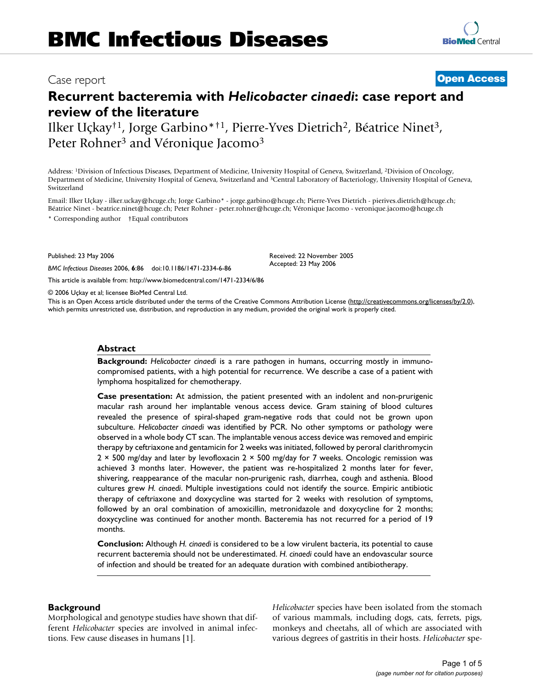## Case report **[Open Access](http://www.biomedcentral.com/info/about/charter/)**

# **Recurrent bacteremia with** *Helicobacter cinaedi***: case report and review of the literature**

Ilker Uçkay†1, Jorge Garbino\*†1, Pierre-Yves Dietrich2, Béatrice Ninet3, Peter Rohner<sup>3</sup> and Véronique Jacomo<sup>3</sup>

Address: 1Division of Infectious Diseases, Department of Medicine, University Hospital of Geneva, Switzerland, 2Division of Oncology, Department of Medicine, University Hospital of Geneva, Switzerland and 3Central Laboratory of Bacteriology, University Hospital of Geneva, Switzerland

Email: Ilker Uçkay - ilker.uckay@hcuge.ch; Jorge Garbino\* - jorge.garbino@hcuge.ch; Pierre-Yves Dietrich - pierives.dietrich@hcuge.ch; Béatrice Ninet - beatrice.ninet@hcuge.ch; Peter Rohner - peter.rohner@hcuge.ch; Véronique Jacomo - veronique.jacomo@hcuge.ch \* Corresponding author †Equal contributors

Published: 23 May 2006

*BMC Infectious Diseases* 2006, **6**:86 doi:10.1186/1471-2334-6-86

[This article is available from: http://www.biomedcentral.com/1471-2334/6/86](http://www.biomedcentral.com/1471-2334/6/86)

© 2006 Uçkay et al; licensee BioMed Central Ltd.

This is an Open Access article distributed under the terms of the Creative Commons Attribution License [\(http://creativecommons.org/licenses/by/2.0\)](http://creativecommons.org/licenses/by/2.0), which permits unrestricted use, distribution, and reproduction in any medium, provided the original work is properly cited.

Received: 22 November 2005 Accepted: 23 May 2006

#### **Abstract**

**Background:** *Helicobacter cinaedi* is a rare pathogen in humans, occurring mostly in immunocompromised patients, with a high potential for recurrence. We describe a case of a patient with lymphoma hospitalized for chemotherapy.

**Case presentation:** At admission, the patient presented with an indolent and non-prurigenic macular rash around her implantable venous access device. Gram staining of blood cultures revealed the presence of spiral-shaped gram-negative rods that could not be grown upon subculture. *Helicobacter cinaedi* was identified by PCR. No other symptoms or pathology were observed in a whole body CT scan. The implantable venous access device was removed and empiric therapy by ceftriaxone and gentamicin for 2 weeks was initiated, followed by peroral clarithromycin 2 × 500 mg/day and later by levofloxacin 2 × 500 mg/day for 7 weeks. Oncologic remission was achieved 3 months later. However, the patient was re-hospitalized 2 months later for fever, shivering, reappearance of the macular non-prurigenic rash, diarrhea, cough and asthenia. Blood cultures grew *H. cinaedi*. Multiple investigations could not identify the source. Empiric antibiotic therapy of ceftriaxone and doxycycline was started for 2 weeks with resolution of symptoms, followed by an oral combination of amoxicillin, metronidazole and doxycycline for 2 months; doxycycline was continued for another month. Bacteremia has not recurred for a period of 19 months.

**Conclusion:** Although *H. cinaedi* is considered to be a low virulent bacteria, its potential to cause recurrent bacteremia should not be underestimated. *H. cinaedi* could have an endovascular source of infection and should be treated for an adequate duration with combined antibiotherapy.

## **Background**

Morphological and genotype studies have shown that different *Helicobacter* species are involved in animal infections. Few cause diseases in humans [1].

*Helicobacter* species have been isolated from the stomach of various mammals, including dogs, cats, ferrets, pigs, monkeys and cheetahs, all of which are associated with various degrees of gastritis in their hosts. *Helicobacter* spe-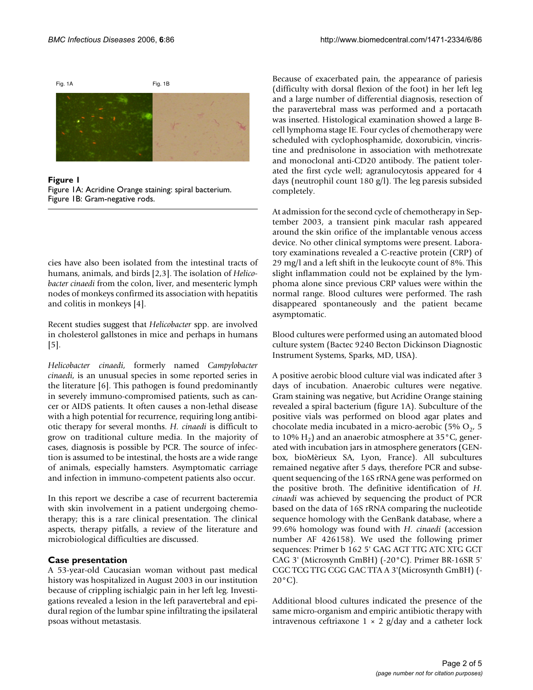

Figure 1 Figure 1A: Acridine Orange staining: spiral bacterium. Figure 1B: Gram-negative rods.

cies have also been isolated from the intestinal tracts of humans, animals, and birds [2,[3](#page-4-0)]. The isolation of *Helicobacter cinaedi* from the colon, liver, and mesenteric lymph nodes of monkeys confirmed its association with hepatitis and colitis in monkeys [4].

Recent studies suggest that *Helicobacter* spp. are involved in cholesterol gallstones in mice and perhaps in humans [5].

*Helicobacter cinaedi*, formerly named *Campylobacter cinaedi*, is an unusual species in some reported series in the literature [\[6\]](#page-4-1). This pathogen is found predominantly in severely immuno-compromised patients, such as cancer or AIDS patients. It often causes a non-lethal disease with a high potential for recurrence, requiring long antibiotic therapy for several months. *H. cinaedi* is difficult to grow on traditional culture media. In the majority of cases, diagnosis is possible by PCR. The source of infection is assumed to be intestinal, the hosts are a wide range of animals, especially hamsters. Asymptomatic carriage and infection in immuno-competent patients also occur.

In this report we describe a case of recurrent bacteremia with skin involvement in a patient undergoing chemotherapy; this is a rare clinical presentation. The clinical aspects, therapy pitfalls, a review of the literature and microbiological difficulties are discussed.

## **Case presentation**

A 53-year-old Caucasian woman without past medical history was hospitalized in August 2003 in our institution because of crippling ischialgic pain in her left leg. Investigations revealed a lesion in the left paravertebral and epidural region of the lumbar spine infiltrating the ipsilateral psoas without metastasis.

Because of exacerbated pain, the appearance of pariesis (difficulty with dorsal flexion of the foot) in her left leg and a large number of differential diagnosis, resection of the paravertebral mass was performed and a portacath was inserted. Histological examination showed a large Bcell lymphoma stage IE. Four cycles of chemotherapy were scheduled with cyclophosphamide, doxorubicin, vincristine and prednisolone in association with methotrexate and monoclonal anti-CD20 antibody. The patient tolerated the first cycle well; agranulocytosis appeared for 4 days (neutrophil count 180 g/l). The leg paresis subsided completely.

At admission for the second cycle of chemotherapy in September 2003, a transient pink macular rash appeared around the skin orifice of the implantable venous access device. No other clinical symptoms were present. Laboratory examinations revealed a C-reactive protein (CRP) of 29 mg/l and a left shift in the leukocyte count of 8%. This slight inflammation could not be explained by the lymphoma alone since previous CRP values were within the normal range. Blood cultures were performed. The rash disappeared spontaneously and the patient became asymptomatic.

Blood cultures were performed using an automated blood culture system (Bactec 9240 Becton Dickinson Diagnostic Instrument Systems, Sparks, MD, USA).

A positive aerobic blood culture vial was indicated after 3 days of incubation. Anaerobic cultures were negative. Gram staining was negative, but Acridine Orange staining revealed a spiral bacterium (figure 1A). Subculture of the positive vials was performed on blood agar plates and chocolate media incubated in a micro-aerobic (5%  $O<sub>2</sub>$ , 5 to 10%  $H_2$ ) and an anaerobic atmosphere at 35 $^{\circ}$ C, generated with incubation jars in atmosphere generators (GENbox, bioMèrieux SA, Lyon, France). All subcultures remained negative after 5 days, therefore PCR and subsequent sequencing of the 16S rRNA gene was performed on the positive broth. The definitive identification of *H. cinaedi* was achieved by sequencing the product of PCR based on the data of 16S rRNA comparing the nucleotide sequence homology with the GenBank database, where a 99.6% homology was found with *H. cinaedi* (accession number AF 426158). We used the following primer sequences: Primer b 162 5' GAG AGT TTG ATC XTG GCT CAG 3' (Microsynth GmBH) (-20°C). Primer BR-16SR 5' CGC TCG TTG CGG GAC TTA A 3'(Microsynth GmBH) (-  $20^{\circ}$ C).

Additional blood cultures indicated the presence of the same micro-organism and empiric antibiotic therapy with intravenous ceftriaxone  $1 \times 2$  g/day and a catheter lock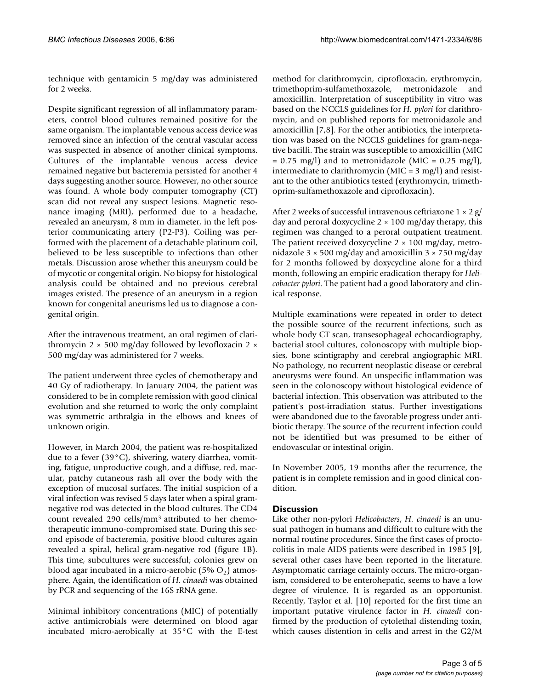technique with gentamicin 5 mg/day was administered for 2 weeks.

Despite significant regression of all inflammatory parameters, control blood cultures remained positive for the same organism. The implantable venous access device was removed since an infection of the central vascular access was suspected in absence of another clinical symptoms. Cultures of the implantable venous access device remained negative but bacteremia persisted for another 4 days suggesting another source. However, no other source was found. A whole body computer tomography (CT) scan did not reveal any suspect lesions. Magnetic resonance imaging (MRI), performed due to a headache, revealed an aneurysm, 8 mm in diameter, in the left posterior communicating artery (P2-P3). Coiling was performed with the placement of a detachable platinum coil, believed to be less susceptible to infections than other metals. Discussion arose whether this aneurysm could be of mycotic or congenital origin. No biopsy for histological analysis could be obtained and no previous cerebral images existed. The presence of an aneurysm in a region known for congenital aneurisms led us to diagnose a congenital origin.

After the intravenous treatment, an oral regimen of clarithromycin 2  $\times$  500 mg/day followed by levofloxacin 2  $\times$ 500 mg/day was administered for 7 weeks.

The patient underwent three cycles of chemotherapy and 40 Gy of radiotherapy. In January 2004, the patient was considered to be in complete remission with good clinical evolution and she returned to work; the only complaint was symmetric arthralgia in the elbows and knees of unknown origin.

However, in March 2004, the patient was re-hospitalized due to a fever (39°C), shivering, watery diarrhea, vomiting, fatigue, unproductive cough, and a diffuse, red, macular, patchy cutaneous rash all over the body with the exception of mucosal surfaces. The initial suspicion of a viral infection was revised 5 days later when a spiral gramnegative rod was detected in the blood cultures. The CD4 count revealed 290 cells/mm3 attributed to her chemotherapeutic immuno-compromised state. During this second episode of bacteremia, positive blood cultures again revealed a spiral, helical gram-negative rod (figure 1B). This time, subcultures were successful; colonies grew on blood agar incubated in a micro-aerobic (5%  $O_2$ ) atmosphere. Again, the identification of *H. cinaedi* was obtained by PCR and sequencing of the 16S rRNA gene.

Minimal inhibitory concentrations (MIC) of potentially active antimicrobials were determined on blood agar incubated micro-aerobically at 35°C with the E-test

method for clarithromycin, ciprofloxacin, erythromycin, trimethoprim-sulfamethoxazole, metronidazole and amoxicillin. Interpretation of susceptibility in vitro was based on the NCCLS guidelines for *H. pylori* for clarithromycin, and on published reports for metronidazole and amoxicillin [7,8]. For the other antibiotics, the interpretation was based on the NCCLS guidelines for gram-negative bacilli. The strain was susceptible to amoxicillin (MIC  $= 0.75$  mg/l) and to metronidazole (MIC  $= 0.25$  mg/l), intermediate to clarithromycin (MIC = 3 mg/l) and resistant to the other antibiotics tested (erythromycin, trimethoprim-sulfamethoxazole and ciprofloxacin).

After 2 weeks of successful intravenous ceftriaxone  $1 \times 2$  g/ day and peroral doxycycline  $2 \times 100$  mg/day therapy, this regimen was changed to a peroral outpatient treatment. The patient received doxycycline  $2 \times 100$  mg/day, metronidazole  $3 \times 500$  mg/day and amoxicillin  $3 \times 750$  mg/day for 2 months followed by doxycycline alone for a third month, following an empiric eradication therapy for *Helicobacter pylori*. The patient had a good laboratory and clinical response.

Multiple examinations were repeated in order to detect the possible source of the recurrent infections, such as whole body CT scan, transesophageal echocardiography, bacterial stool cultures, colonoscopy with multiple biopsies, bone scintigraphy and cerebral angiographic MRI. No pathology, no recurrent neoplastic disease or cerebral aneurysms were found. An unspecific inflammation was seen in the colonoscopy without histological evidence of bacterial infection. This observation was attributed to the patient's post-irradiation status. Further investigations were abandoned due to the favorable progress under antibiotic therapy. The source of the recurrent infection could not be identified but was presumed to be either of endovascular or intestinal origin.

In November 2005, 19 months after the recurrence, the patient is in complete remission and in good clinical condition.

## **Discussion**

Like other non-pylori *Helicobacters*, *H. cinaedi* is an unusual pathogen in humans and difficult to culture with the normal routine procedures. Since the first cases of proctocolitis in male AIDS patients were described in 1985 [[9](#page-4-2)], several other cases have been reported in the literature. Asymptomatic carriage certainly occurs. The micro-organism, considered to be enterohepatic, seems to have a low degree of virulence. It is regarded as an opportunist. Recently, Taylor et al. [10] reported for the first time an important putative virulence factor in *H. cinaedi* confirmed by the production of cytolethal distending toxin, which causes distention in cells and arrest in the G2/M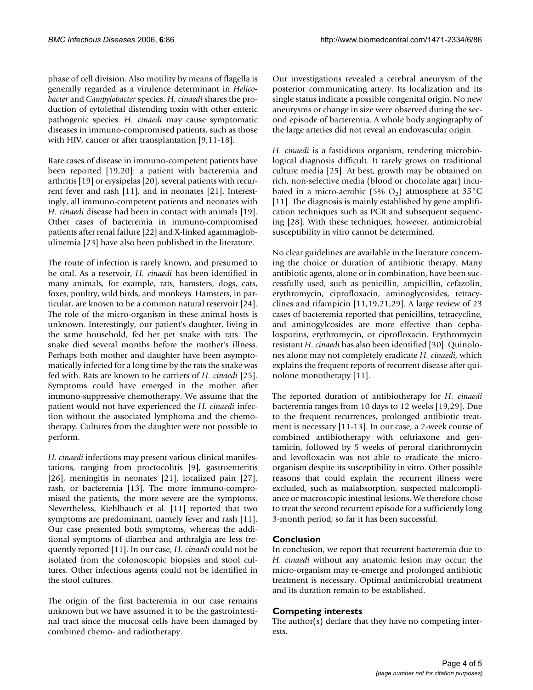phase of cell division. Also motility by means of flagella is generally regarded as a virulence determinant in *Helicobacter* and *Campylobacter* species. *H. cinaedi* shares the production of cytolethal distending toxin with other enteric pathogenic species. *H. cinaedi* may cause symptomatic diseases in immuno-compromised patients, such as those with HIV, cancer or after transplantation [\[9,](#page-4-2)[11](#page-4-3)-18].

Rare cases of disease in immuno-competent patients have been reported [19[,20](#page-4-4)]: a patient with bacteremia and arthritis [19] or erysipelas [[20](#page-4-4)], several patients with recurrent fever and rash [[11\]](#page-4-3), and in neonates [21]. Interestingly, all immuno-competent patients and neonates with *H. cinaedi* disease had been in contact with animals [19]. Other cases of bacteremia in immuno-compromised patients after renal failure [22] and X-linked agammaglobulinemia [23] have also been published in the literature.

The route of infection is rarely known, and presumed to be oral. As a reservoir, *H. cinaedi* has been identified in many animals, for example, rats, hamsters, dogs, cats, foxes, poultry, wild birds, and monkeys. Hamsters, in particular, are known to be a common natural reservoir [24]. The role of the micro-organism in these animal hosts is unknown. Interestingly, our patient's daughter, living in the same household, fed her pet snake with rats. The snake died several months before the mother's illness. Perhaps both mother and daughter have been asymptomatically infected for a long time by the rats the snake was fed with. Rats are known to be carriers of *H. cinaedi* [25]. Symptoms could have emerged in the mother after immuno-suppressive chemotherapy. We assume that the patient would not have experienced the *H. cinaedi* infection without the associated lymphoma and the chemotherapy. Cultures from the daughter were not possible to perform.

*H. cinaedi* infections may present various clinical manifestations, ranging from proctocolitis [\[9\]](#page-4-2), gastroenteritis [26], meningitis in neonates [21], localized pain [\[27](#page-4-5)], rash, or bacteremia [13]. The more immuno-compromised the patients, the more severe are the symptoms. Nevertheless, Kiehlbauch et al. [\[11\]](#page-4-3) reported that two symptoms are predominant, namely fever and rash [\[11](#page-4-3)]. Our case presented both symptoms, whereas the additional symptoms of diarrhea and arthralgia are less frequently reported [[11\]](#page-4-3). In our case, *H. cinaedi* could not be isolated from the colonoscopic biopsies and stool cultures. Other infectious agents could not be identified in the stool cultures.

The origin of the first bacteremia in our case remains unknown but we have assumed it to be the gastrointestinal tract since the mucosal cells have been damaged by combined chemo- and radiotherapy.

Our investigations revealed a cerebral aneurysm of the posterior communicating artery. Its localization and its single status indicate a possible congenital origin. No new aneurysms or change in size were observed during the second episode of bacteremia. A whole body angiography of the large arteries did not reveal an endovascular origin.

*H. cinaedi* is a fastidious organism, rendering microbiological diagnosis difficult. It rarely grows on traditional culture media [25]. At best, growth may be obtained on rich, non-selective media (blood or chocolate agar) incubated in a micro-aerobic (5%  $O_2$ ) atmosphere at 35°C [[11](#page-4-3)]. The diagnosis is mainly established by gene amplification techniques such as PCR and subsequent sequencing [28]. With these techniques, however, antimicrobial susceptibility in vitro cannot be determined.

No clear guidelines are available in the literature concerning the choice or duration of antibiotic therapy. Many antibiotic agents, alone or in combination, have been successfully used, such as penicillin, ampicillin, cefazolin, erythromycin, ciprofloxacin, aminoglycosides, tetracyclines and rifampicin [\[11](#page-4-3),19,21[,29](#page-4-6)]. A large review of 23 cases of bacteremia reported that penicillins, tetracycline, and aminogylcosides are more effective than cephalosporins, erythromycin, or ciprofloxacin. Erythromycin resistant *H. cinaedi* has also been identified [30]. Quinolones alone may not completely eradicate *H. cinaedi*, which explains the frequent reports of recurrent disease after quinolone monotherapy [[11\]](#page-4-3).

The reported duration of antibiotherapy for *H. cinaedi* bacteremia ranges from 10 days to 12 weeks [19[,29\]](#page-4-6). Due to the frequent recurrences, prolonged antibiotic treatment is necessary [\[11-](#page-4-3)13]. In our case, a 2-week course of combined antibiotherapy with ceftriaxone and gentamicin, followed by 5 weeks of peroral clarithromycin and levofloxacin was not able to eradicate the microorganism despite its susceptibility in vitro. Other possible reasons that could explain the recurrent illness were excluded, such as malabsorption, suspected malcompliance or macroscopic intestinal lesions. We therefore chose to treat the second recurrent episode for a sufficiently long 3-month period; so far it has been successful.

## **Conclusion**

In conclusion, we report that recurrent bacteremia due to *H. cinaedi* without any anatomic lesion may occur; the micro-organism may re-emerge and prolonged antibiotic treatment is necessary. Optimal antimicrobial treatment and its duration remain to be established.

## **Competing interests**

The author(s) declare that they have no competing interests.